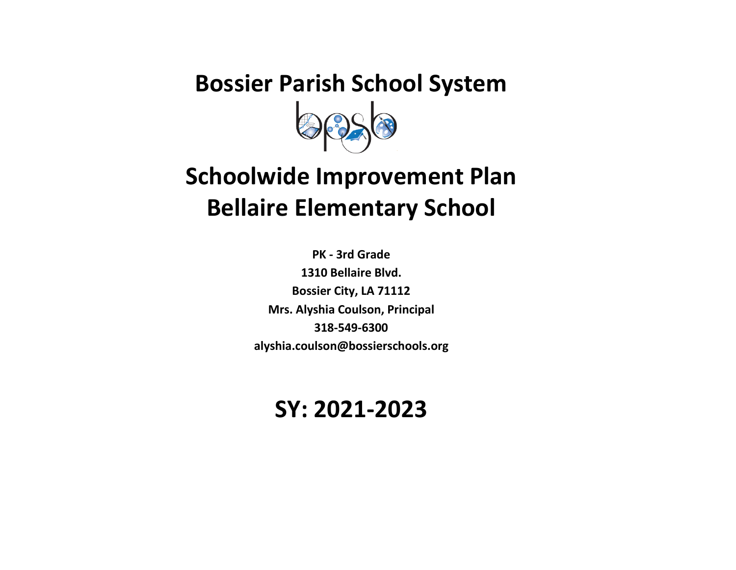# **Bossier Parish School System**

# **Schoolwide Improvement Plan Bellaire Elementary School**

**PK - 3rd Grade 1310 Bellaire Blvd. Bossier City, LA 71112 Mrs. Alyshia Coulson, Principal 318-549-6300 alyshia.coulson@bossierschools.org**

## **SY: 2021-2023**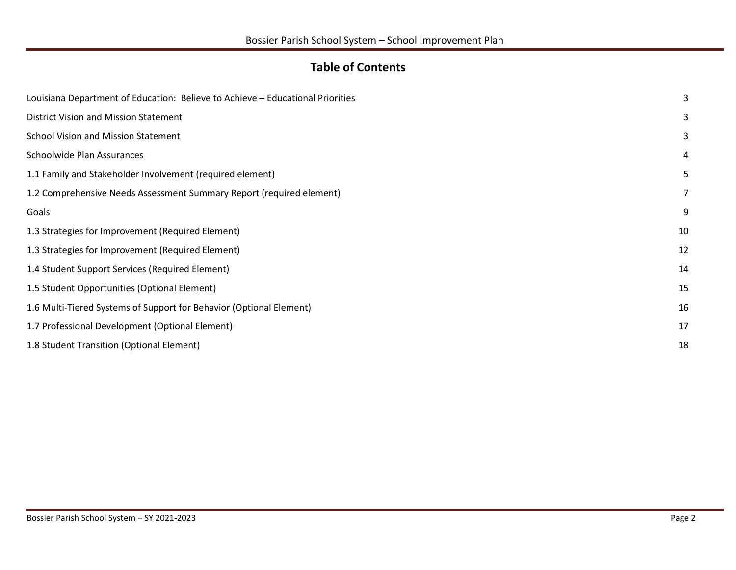#### **Table of Contents**

<span id="page-1-0"></span>

| Louisiana Department of Education: Believe to Achieve - Educational Priorities | 3              |
|--------------------------------------------------------------------------------|----------------|
| District Vision and Mission Statement                                          | 3              |
| <b>School Vision and Mission Statement</b>                                     | 3              |
| Schoolwide Plan Assurances                                                     | 4              |
| 1.1 Family and Stakeholder Involvement (required element)                      | 5              |
| 1.2 Comprehensive Needs Assessment Summary Report (required element)           | $\overline{7}$ |
| Goals                                                                          | 9              |
| 1.3 Strategies for Improvement (Required Element)                              | 10             |
| 1.3 Strategies for Improvement (Required Element)                              | 12             |
| 1.4 Student Support Services (Required Element)                                | 14             |
| 1.5 Student Opportunities (Optional Element)                                   | 15             |
| 1.6 Multi-Tiered Systems of Support for Behavior (Optional Element)            | 16             |
| 1.7 Professional Development (Optional Element)                                | 17             |
| 1.8 Student Transition (Optional Element)                                      | 18             |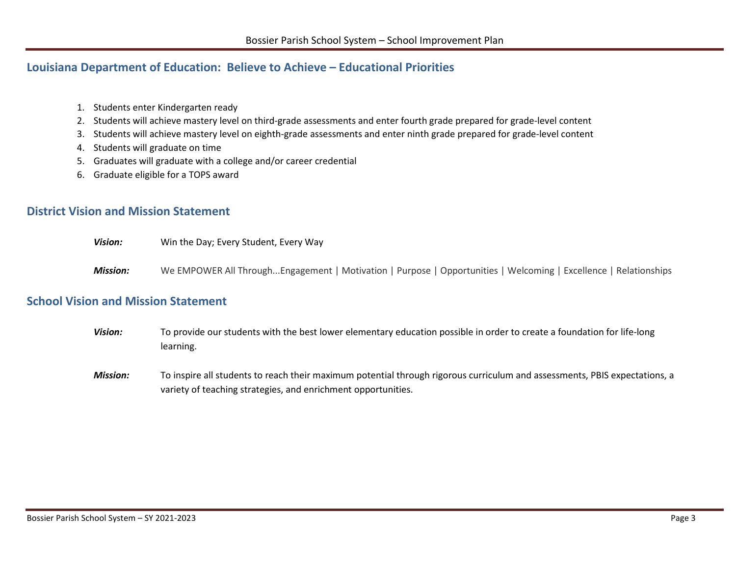#### <span id="page-2-2"></span>**Louisiana Department of Education: Believe to Achieve – Educational Priorities**

- 1. Students enter Kindergarten ready
- 2. Students will achieve mastery level on third-grade assessments and enter fourth grade prepared for grade-level content
- 3. Students will achieve mastery level on eighth-grade assessments and enter ninth grade prepared for grade-level content
- 4. Students will graduate on time
- 5. Graduates will graduate with a college and/or career credential
- 6. Graduate eligible for a TOPS award

#### <span id="page-2-0"></span>**District Vision and Mission Statement**

- *Vision:* Win the Day; Every Student, Every Way
- *Mission:* We EMPOWER All Through...Engagement | Motivation | Purpose | Opportunities | Welcoming | Excellence | Relationships

#### <span id="page-2-1"></span>**School Vision and Mission Statement**

- *Vision:* To provide our students with the best lower elementary education possible in order to create a foundation for life-long learning.
- *Mission:* To inspire all students to reach their maximum potential through rigorous curriculum and assessments, PBIS expectations, a variety of teaching strategies, and enrichment opportunities.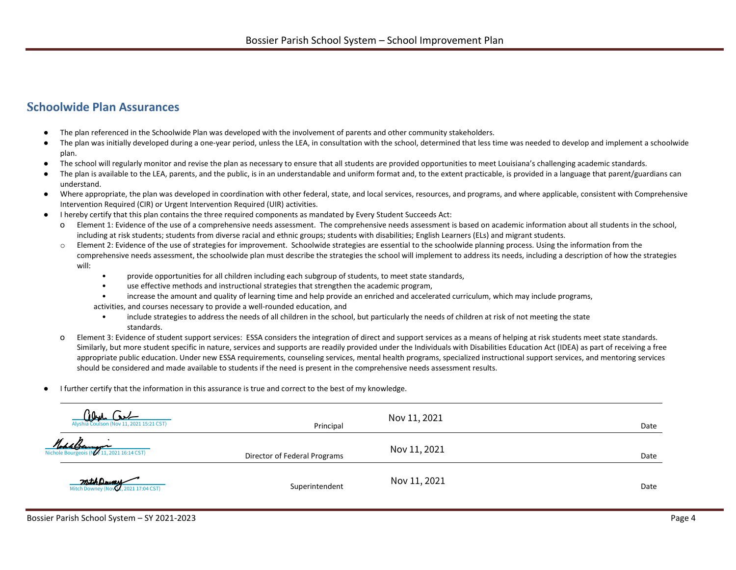#### **Schoolwide Plan Assurances**

- The plan referenced in the Schoolwide Plan was developed with the involvement of parents and other community stakeholders.
- The plan was initially developed during a one-year period, unless the LEA, in consultation with the school, determined that less time was needed to develop and implement a schoolwide plan.
- The school will regularly monitor and revise the plan as necessary to ensure that all students are provided opportunities to meet Louisiana's challenging academic standards.
- The plan is available to the LEA, parents, and the public, is in an understandable and uniform format and, to the extent practicable, is provided in a language that parent/guardians can understand.
- Where appropriate, the plan was developed in coordination with other federal, state, and local services, resources, and programs, and where applicable, consistent with Comprehensive Intervention Required (CIR) or Urgent Intervention Required (UIR) activities.
- I hereby certify that this plan contains the three required components as mandated by Every Student Succeeds Act:
	- o Element 1: Evidence of the use of a comprehensive needs assessment. The comprehensive needs assessment is based on academic information about all students in the school, including at risk students; students from diverse racial and ethnic groups; students with disabilities; English Learners (ELs) and migrant students.
	- o Element 2: Evidence of the use of strategies for improvement. Schoolwide strategies are essential to the schoolwide planning process. Using the information from the comprehensive needs assessment, the schoolwide plan must describe the strategies the school will implement to address its needs, including a description of how the strategies will:
		- provide opportunities for all children including each subgroup of students, to meet state standards,
		- use effective methods and instructional strategies that strengthen the academic program,
		- increase the amount and quality of learning time and help provide an enriched and accelerated curriculum, which may include programs,
		- activities, and courses necessary to provide a well-rounded education, and
			- include strategies to address the needs of all children in the school, but particularly the needs of children at risk of not meeting the state standards.
	- o Element 3: Evidence of student support services: ESSA considers the integration of direct and support services as a means of helping at risk students meet state standards. Similarly, but more student specific in nature, services and supports are readily provided under the Individuals with Disabilities Education Act (IDEA) as part of receiving a free appropriate public education. Under new ESSA requirements, counseling services, mental health programs, specialized instructional support services, and mentoring services should be considered and made available to students if the need is present in the comprehensive needs assessment results.
- I further certify that the information in this assurance is true and correct to the best of my knowledge.

| Alyshia Coulson (Nov 11, 2021 15:21 CST)                 | Principal                    | Nov 11, 2021 | Date |
|----------------------------------------------------------|------------------------------|--------------|------|
| MohlBerry -<br>Nichole Bourgeois (NV 11, 2021 16:14 CST) | Director of Federal Programs | Nov 11, 2021 | Date |
| Mitch Downey (Nov 1, 2021 17:04 CST)                     | Superintendent               | Nov 11, 2021 | Date |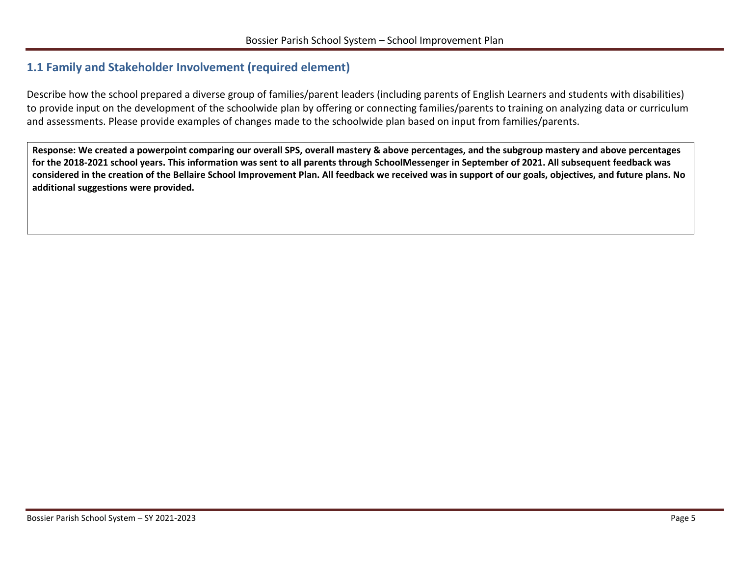#### <span id="page-4-1"></span><span id="page-4-0"></span>**1.1 Family and Stakeholder Involvement (required element)**

Describe how the school prepared a diverse group of families/parent leaders (including parents of English Learners and students with disabilities) to provide input on the development of the schoolwide plan by offering or connecting families/parents to training on analyzing data or curriculum and assessments. Please provide examples of changes made to the schoolwide plan based on input from families/parents.

**Response: We created a powerpoint comparing our overall SPS, overall mastery & above percentages, and the subgroup mastery and above percentages for the 2018-2021 school years. This information was sent to all parents through SchoolMessenger in September of 2021. All subsequent feedback was considered in the creation of the Bellaire School Improvement Plan. All feedback we received was in support of our goals, objectives, and future plans. No additional suggestions were provided.**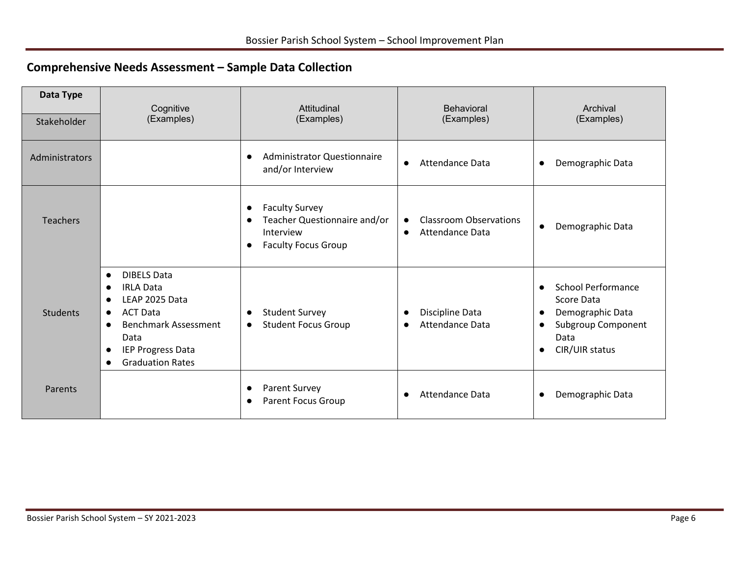### **Comprehensive Needs Assessment – Sample Data Collection**

| Data Type<br>Stakeholder | Cognitive<br>(Examples)                                                                                                                                                                                                             | Attitudinal<br>(Examples)                                                                                                               | <b>Behavioral</b><br>(Examples)                                                   | Archival<br>(Examples)                                                                                                                                          |
|--------------------------|-------------------------------------------------------------------------------------------------------------------------------------------------------------------------------------------------------------------------------------|-----------------------------------------------------------------------------------------------------------------------------------------|-----------------------------------------------------------------------------------|-----------------------------------------------------------------------------------------------------------------------------------------------------------------|
| Administrators           |                                                                                                                                                                                                                                     | <b>Administrator Questionnaire</b><br>$\bullet$<br>and/or Interview                                                                     | Attendance Data<br>$\bullet$                                                      | Demographic Data<br>$\bullet$                                                                                                                                   |
| <b>Teachers</b>          |                                                                                                                                                                                                                                     | <b>Faculty Survey</b><br>$\bullet$<br>Teacher Questionnaire and/or<br>$\bullet$<br>Interview<br><b>Faculty Focus Group</b><br>$\bullet$ | <b>Classroom Observations</b><br>$\bullet$<br><b>Attendance Data</b><br>$\bullet$ | Demographic Data<br>$\bullet$                                                                                                                                   |
| <b>Students</b>          | <b>DIBELS Data</b><br>$\bullet$<br><b>IRLA Data</b><br>$\bullet$<br>LEAP 2025 Data<br><b>ACT Data</b><br>$\bullet$<br><b>Benchmark Assessment</b><br>$\bullet$<br>Data<br>IEP Progress Data<br>$\bullet$<br><b>Graduation Rates</b> | <b>Student Survey</b><br>$\bullet$<br><b>Student Focus Group</b><br>$\bullet$                                                           | Discipline Data<br>$\bullet$<br><b>Attendance Data</b><br>$\bullet$               | <b>School Performance</b><br>$\bullet$<br>Score Data<br>Demographic Data<br>$\bullet$<br>Subgroup Component<br>$\bullet$<br>Data<br>CIR/UIR status<br>$\bullet$ |
| Parents                  |                                                                                                                                                                                                                                     | <b>Parent Survey</b><br>$\bullet$<br><b>Parent Focus Group</b><br>$\bullet$                                                             | <b>Attendance Data</b><br>$\bullet$                                               | Demographic Data<br>$\bullet$                                                                                                                                   |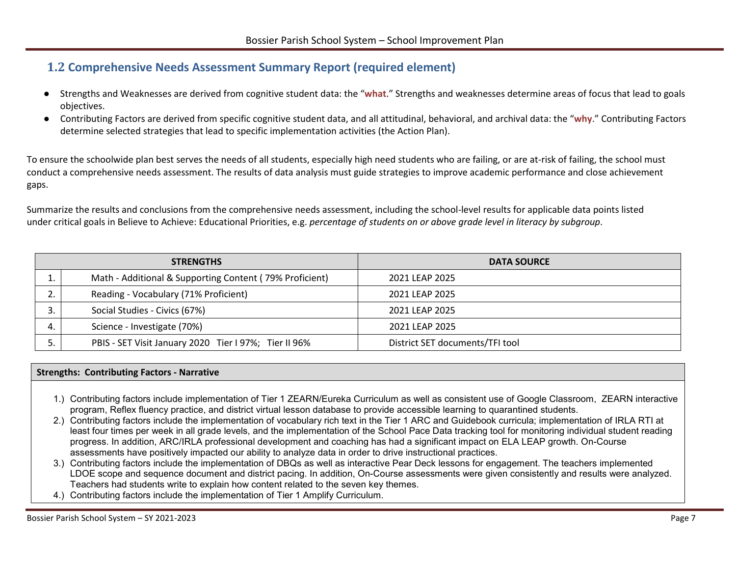#### <span id="page-6-1"></span><span id="page-6-0"></span>**1.2 Comprehensive Needs Assessment Summary Report (required element)**

- Strengths and Weaknesses are derived from cognitive student data: the "**what**." Strengths and weaknesses determine areas of focus that lead to goals objectives.
- Contributing Factors are derived from specific cognitive student data, and all attitudinal, behavioral, and archival data: the "**why**." Contributing Factors determine selected strategies that lead to specific implementation activities (the Action Plan).

To ensure the schoolwide plan best serves the needs of all students, especially high need students who are failing, or are at-risk of failing, the school must conduct a comprehensive needs assessment. The results of data analysis must guide strategies to improve academic performance and close achievement gaps.

Summarize the results and conclusions from the comprehensive needs assessment, including the school-level results for applicable data points listed under critical goals in Believe to Achieve: Educational Priorities, e.g. *percentage of students on or above grade level in literacy by subgroup*.

|               | <b>STRENGTHS</b>                                        | <b>DATA SOURCE</b>              |
|---------------|---------------------------------------------------------|---------------------------------|
|               | Math - Additional & Supporting Content (79% Proficient) | 2021 LEAP 2025                  |
| ⌒<br><u>.</u> | Reading - Vocabulary (71% Proficient)                   | 2021 LEAP 2025                  |
| ر             | Social Studies - Civics (67%)                           | 2021 LEAP 2025                  |
| 4.            | Science - Investigate (70%)                             | 2021 LEAP 2025                  |
|               | PBIS - SET Visit January 2020 Tier I 97%; Tier II 96%   | District SET documents/TFI tool |

#### **Strengths: Contributing Factors - Narrative**

- 1.) Contributing factors include implementation of Tier 1 ZEARN/Eureka Curriculum as well as consistent use of Google Classroom, ZEARN interactive program, Reflex fluency practice, and district virtual lesson database to provide accessible learning to quarantined students.
- 2.) Contributing factors include the implementation of vocabulary rich text in the Tier 1 ARC and Guidebook curricula; implementation of IRLA RTI at least four times per week in all grade levels, and the implementation of the School Pace Data tracking tool for monitoring individual student reading progress. In addition, ARC/IRLA professional development and coaching has had a significant impact on ELA LEAP growth. On-Course assessments have positively impacted our ability to analyze data in order to drive instructional practices.
- 3.) Contributing factors include the implementation of DBQs as well as interactive Pear Deck lessons for engagement. The teachers implemented LDOE scope and sequence document and district pacing. In addition, On-Course assessments were given consistently and results were analyzed. Teachers had students write to explain how content related to the seven key themes.
- 4.) Contributing factors include the implementation of Tier 1 Amplify Curriculum.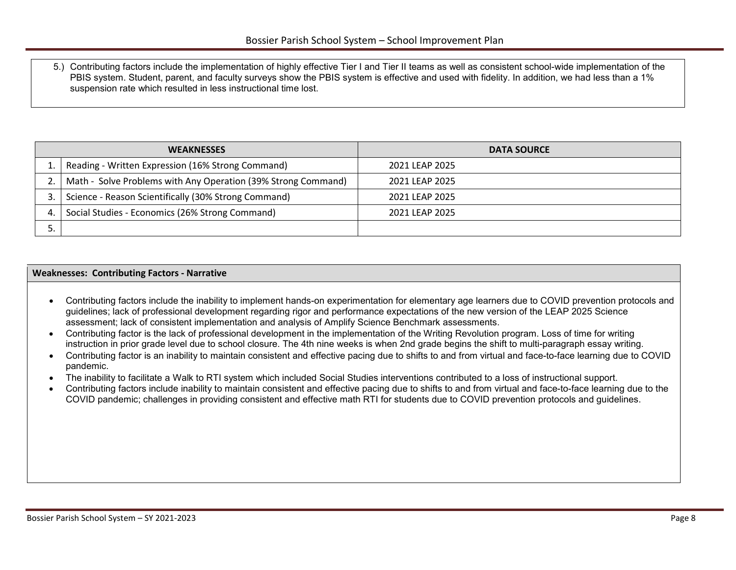<span id="page-7-1"></span>5.) Contributing factors include the implementation of highly effective Tier I and Tier II teams as well as consistent school-wide implementation of the PBIS system. Student, parent, and faculty surveys show the PBIS system is effective and used with fidelity. In addition, we had less than a 1% suspension rate which resulted in less instructional time lost.

| <b>WEAKNESSES</b>                                             | <b>DATA SOURCE</b> |  |
|---------------------------------------------------------------|--------------------|--|
| Reading - Written Expression (16% Strong Command)             | 2021 LEAP 2025     |  |
| Math - Solve Problems with Any Operation (39% Strong Command) | 2021 LEAP 2025     |  |
| Science - Reason Scientifically (30% Strong Command)          | 2021 LEAP 2025     |  |
| Social Studies - Economics (26% Strong Command)               | 2021 LEAP 2025     |  |
|                                                               |                    |  |

#### **Weaknesses: Contributing Factors - Narrative**

- Contributing factors include the inability to implement hands-on experimentation for elementary age learners due to COVID prevention protocols and guidelines; lack of professional development regarding rigor and performance expectations of the new version of the LEAP 2025 Science assessment; lack of consistent implementation and analysis of Amplify Science Benchmark assessments.
- Contributing factor is the lack of professional development in the implementation of the Writing Revolution program. Loss of time for writing instruction in prior grade level due to school closure. The 4th nine weeks is when 2nd grade begins the shift to multi-paragraph essay writing.
- Contributing factor is an inability to maintain consistent and effective pacing due to shifts to and from virtual and face-to-face learning due to COVID pandemic.
- The inability to facilitate a Walk to RTI system which included Social Studies interventions contributed to a loss of instructional support.
- <span id="page-7-0"></span>• Contributing factors include inability to maintain consistent and effective pacing due to shifts to and from virtual and face-to-face learning due to the COVID pandemic; challenges in providing consistent and effective math RTI for students due to COVID prevention protocols and guidelines.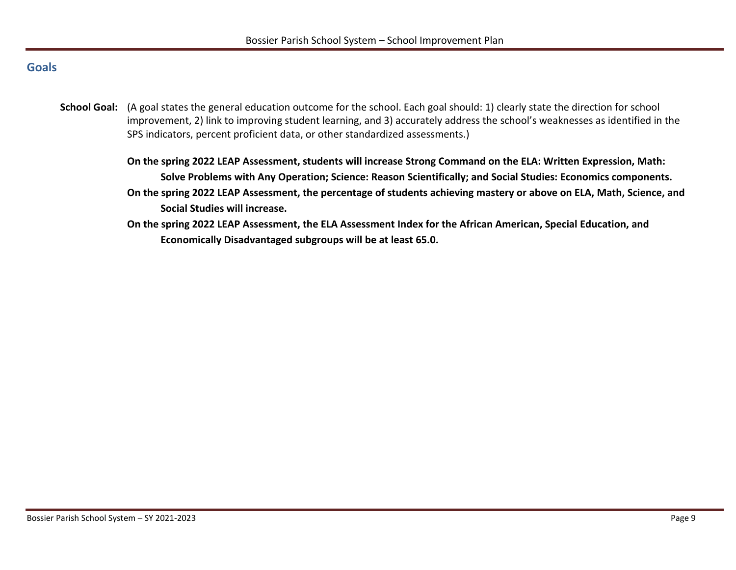#### **Goals**

- **School Goal:** (A goal states the general education outcome for the school. Each goal should: 1) clearly state the direction for school improvement, 2) link to improving student learning, and 3) accurately address the school's weaknesses as identified in the SPS indicators, percent proficient data, or other standardized assessments.)
	- **On the spring 2022 LEAP Assessment, students will increase Strong Command on the ELA: Written Expression, Math: Solve Problems with Any Operation; Science: Reason Scientifically; and Social Studies: Economics components. On the spring 2022 LEAP Assessment, the percentage of students achieving mastery or above on ELA, Math, Science, and Social Studies will increase.**
	- **On the spring 2022 LEAP Assessment, the ELA Assessment Index for the African American, Special Education, and Economically Disadvantaged subgroups will be at least 65.0.**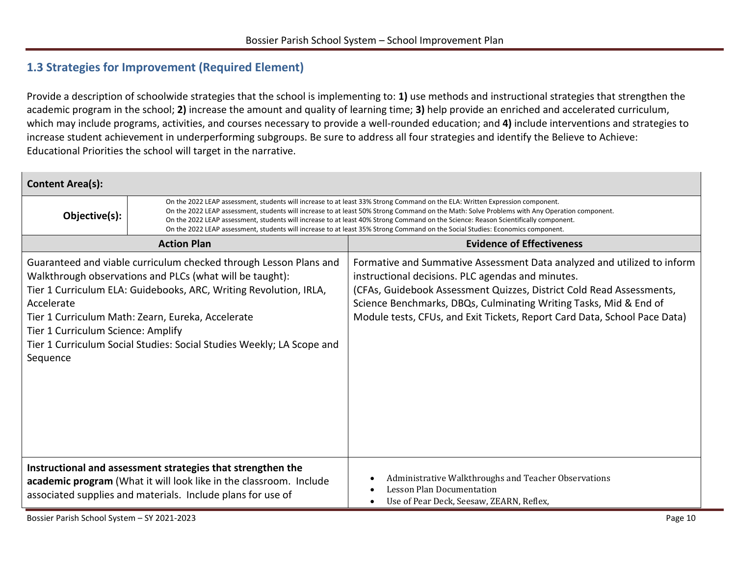#### <span id="page-9-1"></span><span id="page-9-0"></span>**1.3 Strategies for Improvement (Required Element)**

Provide a description of schoolwide strategies that the school is implementing to: **1)** use methods and instructional strategies that strengthen the academic program in the school; **2)** increase the amount and quality of learning time; **3)** help provide an enriched and accelerated curriculum, which may include programs, activities, and courses necessary to provide a well-rounded education; and **4)** include interventions and strategies to increase student achievement in underperforming subgroups. Be sure to address all four strategies and identify the Believe to Achieve: Educational Priorities the school will target in the narrative.

| <b>Content Area(s):</b>                                      |                                                                                                                                                                                                                                                                                                                                                                                                                                                                                                                                                       |                                                                                                                                                                                                                                                                                                                                                        |
|--------------------------------------------------------------|-------------------------------------------------------------------------------------------------------------------------------------------------------------------------------------------------------------------------------------------------------------------------------------------------------------------------------------------------------------------------------------------------------------------------------------------------------------------------------------------------------------------------------------------------------|--------------------------------------------------------------------------------------------------------------------------------------------------------------------------------------------------------------------------------------------------------------------------------------------------------------------------------------------------------|
| Objective(s):                                                | On the 2022 LEAP assessment, students will increase to at least 33% Strong Command on the ELA: Written Expression component.<br>On the 2022 LEAP assessment, students will increase to at least 50% Strong Command on the Math: Solve Problems with Any Operation component.<br>On the 2022 LEAP assessment, students will increase to at least 40% Strong Command on the Science: Reason Scientifically component.<br>On the 2022 LEAP assessment, students will increase to at least 35% Strong Command on the Social Studies: Economics component. |                                                                                                                                                                                                                                                                                                                                                        |
|                                                              | <b>Action Plan</b>                                                                                                                                                                                                                                                                                                                                                                                                                                                                                                                                    | <b>Evidence of Effectiveness</b>                                                                                                                                                                                                                                                                                                                       |
| Accelerate<br>Tier 1 Curriculum Science: Amplify<br>Sequence | Guaranteed and viable curriculum checked through Lesson Plans and<br>Walkthrough observations and PLCs (what will be taught):<br>Tier 1 Curriculum ELA: Guidebooks, ARC, Writing Revolution, IRLA,<br>Tier 1 Curriculum Math: Zearn, Eureka, Accelerate<br>Tier 1 Curriculum Social Studies: Social Studies Weekly; LA Scope and                                                                                                                                                                                                                      | Formative and Summative Assessment Data analyzed and utilized to inform<br>instructional decisions. PLC agendas and minutes.<br>(CFAs, Guidebook Assessment Quizzes, District Cold Read Assessments,<br>Science Benchmarks, DBQs, Culminating Writing Tasks, Mid & End of<br>Module tests, CFUs, and Exit Tickets, Report Card Data, School Pace Data) |
|                                                              | Instructional and assessment strategies that strengthen the<br>academic program (What it will look like in the classroom. Include<br>associated supplies and materials. Include plans for use of                                                                                                                                                                                                                                                                                                                                                      | Administrative Walkthroughs and Teacher Observations<br><b>Lesson Plan Documentation</b><br>Use of Pear Deck, Seesaw, ZEARN, Reflex,                                                                                                                                                                                                                   |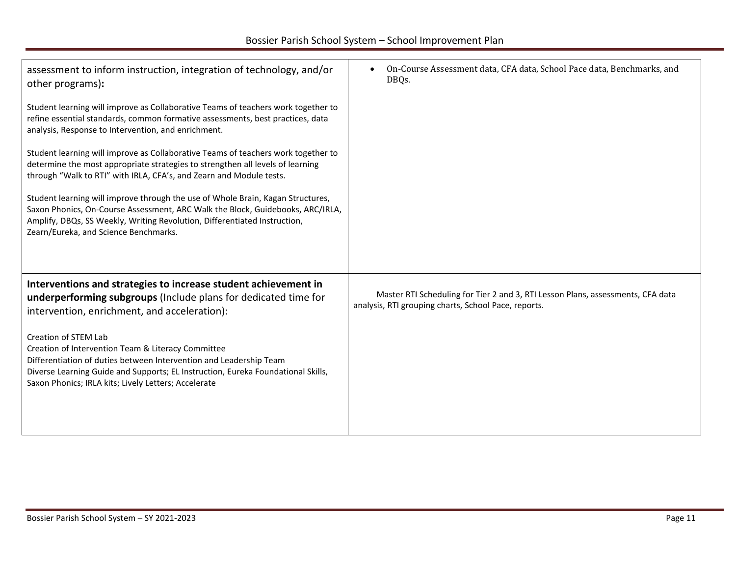| assessment to inform instruction, integration of technology, and/or<br>other programs):<br>Student learning will improve as Collaborative Teams of teachers work together to<br>refine essential standards, common formative assessments, best practices, data<br>analysis, Response to Intervention, and enrichment.<br>Student learning will improve as Collaborative Teams of teachers work together to<br>determine the most appropriate strategies to strengthen all levels of learning<br>through "Walk to RTI" with IRLA, CFA's, and Zearn and Module tests.<br>Student learning will improve through the use of Whole Brain, Kagan Structures,<br>Saxon Phonics, On-Course Assessment, ARC Walk the Block, Guidebooks, ARC/IRLA,<br>Amplify, DBQs, SS Weekly, Writing Revolution, Differentiated Instruction, | On-Course Assessment data, CFA data, School Pace data, Benchmarks, and<br>DBQs.                                                         |
|-----------------------------------------------------------------------------------------------------------------------------------------------------------------------------------------------------------------------------------------------------------------------------------------------------------------------------------------------------------------------------------------------------------------------------------------------------------------------------------------------------------------------------------------------------------------------------------------------------------------------------------------------------------------------------------------------------------------------------------------------------------------------------------------------------------------------|-----------------------------------------------------------------------------------------------------------------------------------------|
| Zearn/Eureka, and Science Benchmarks.                                                                                                                                                                                                                                                                                                                                                                                                                                                                                                                                                                                                                                                                                                                                                                                 |                                                                                                                                         |
| Interventions and strategies to increase student achievement in<br>underperforming subgroups (Include plans for dedicated time for<br>intervention, enrichment, and acceleration):                                                                                                                                                                                                                                                                                                                                                                                                                                                                                                                                                                                                                                    | Master RTI Scheduling for Tier 2 and 3, RTI Lesson Plans, assessments, CFA data<br>analysis, RTI grouping charts, School Pace, reports. |
| Creation of STEM Lab<br>Creation of Intervention Team & Literacy Committee<br>Differentiation of duties between Intervention and Leadership Team<br>Diverse Learning Guide and Supports; EL Instruction, Eureka Foundational Skills,<br>Saxon Phonics; IRLA kits; Lively Letters; Accelerate                                                                                                                                                                                                                                                                                                                                                                                                                                                                                                                          |                                                                                                                                         |
|                                                                                                                                                                                                                                                                                                                                                                                                                                                                                                                                                                                                                                                                                                                                                                                                                       |                                                                                                                                         |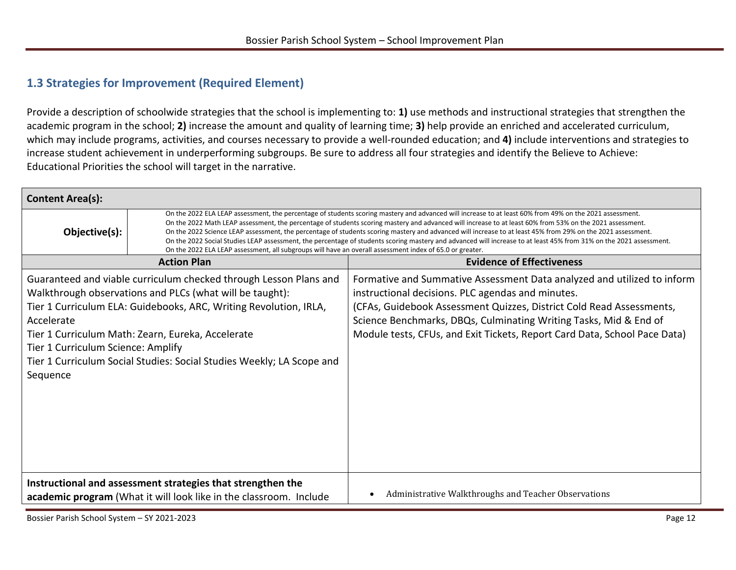#### **1.3 Strategies for Improvement (Required Element)**

Provide a description of schoolwide strategies that the school is implementing to: **1)** use methods and instructional strategies that strengthen the academic program in the school; **2)** increase the amount and quality of learning time; **3)** help provide an enriched and accelerated curriculum, which may include programs, activities, and courses necessary to provide a well-rounded education; and **4)** include interventions and strategies to increase student achievement in underperforming subgroups. Be sure to address all four strategies and identify the Believe to Achieve: Educational Priorities the school will target in the narrative.

| <b>Content Area(s):</b>                                      |                                                                                                                                                                                                                                                                                                                                                                                                                                                                                                                                                                                                                                                                                                                                                                      |                                                                                                                                                                                                                                                                                                                                                        |
|--------------------------------------------------------------|----------------------------------------------------------------------------------------------------------------------------------------------------------------------------------------------------------------------------------------------------------------------------------------------------------------------------------------------------------------------------------------------------------------------------------------------------------------------------------------------------------------------------------------------------------------------------------------------------------------------------------------------------------------------------------------------------------------------------------------------------------------------|--------------------------------------------------------------------------------------------------------------------------------------------------------------------------------------------------------------------------------------------------------------------------------------------------------------------------------------------------------|
| Objective(s):                                                | On the 2022 ELA LEAP assessment, the percentage of students scoring mastery and advanced will increase to at least 60% from 49% on the 2021 assessment.<br>On the 2022 Math LEAP assessment, the percentage of students scoring mastery and advanced will increase to at least 60% from 53% on the 2021 assessment.<br>On the 2022 Science LEAP assessment, the percentage of students scoring mastery and advanced will increase to at least 45% from 29% on the 2021 assessment.<br>On the 2022 Social Studies LEAP assessment, the percentage of students scoring mastery and advanced will increase to at least 45% from 31% on the 2021 assessment.<br>On the 2022 ELA LEAP assessment, all subgroups will have an overall assessment index of 65.0 or greater. |                                                                                                                                                                                                                                                                                                                                                        |
|                                                              | <b>Action Plan</b>                                                                                                                                                                                                                                                                                                                                                                                                                                                                                                                                                                                                                                                                                                                                                   | <b>Evidence of Effectiveness</b>                                                                                                                                                                                                                                                                                                                       |
| Accelerate<br>Tier 1 Curriculum Science: Amplify<br>Sequence | Guaranteed and viable curriculum checked through Lesson Plans and<br>Walkthrough observations and PLCs (what will be taught):<br>Tier 1 Curriculum ELA: Guidebooks, ARC, Writing Revolution, IRLA,<br>Tier 1 Curriculum Math: Zearn, Eureka, Accelerate<br>Tier 1 Curriculum Social Studies: Social Studies Weekly; LA Scope and                                                                                                                                                                                                                                                                                                                                                                                                                                     | Formative and Summative Assessment Data analyzed and utilized to inform<br>instructional decisions. PLC agendas and minutes.<br>(CFAs, Guidebook Assessment Quizzes, District Cold Read Assessments,<br>Science Benchmarks, DBQs, Culminating Writing Tasks, Mid & End of<br>Module tests, CFUs, and Exit Tickets, Report Card Data, School Pace Data) |
|                                                              | Instructional and assessment strategies that strengthen the<br>academic program (What it will look like in the classroom. Include                                                                                                                                                                                                                                                                                                                                                                                                                                                                                                                                                                                                                                    | Administrative Walkthroughs and Teacher Observations                                                                                                                                                                                                                                                                                                   |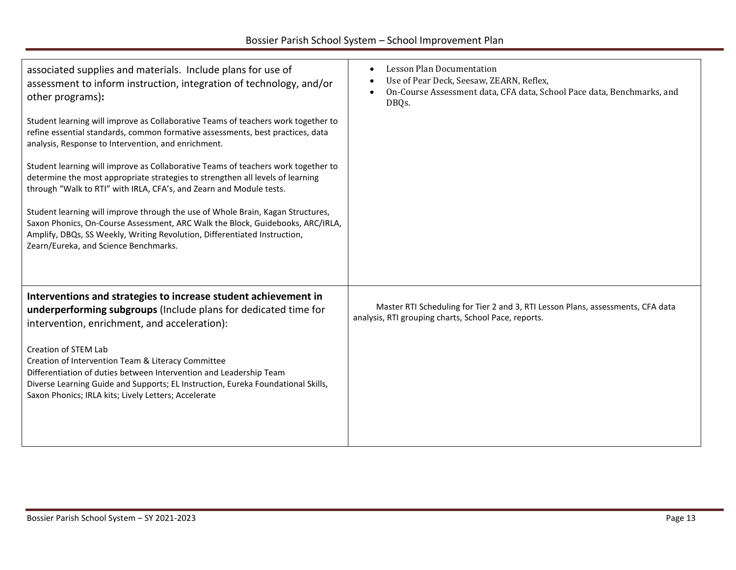| associated supplies and materials. Include plans for use of<br>assessment to inform instruction, integration of technology, and/or<br>other programs):                                                                                                                                       | Lesson Plan Documentation<br>Use of Pear Deck, Seesaw, ZEARN, Reflex,<br>On-Course Assessment data, CFA data, School Pace data, Benchmarks, and<br>DBQs. |
|----------------------------------------------------------------------------------------------------------------------------------------------------------------------------------------------------------------------------------------------------------------------------------------------|----------------------------------------------------------------------------------------------------------------------------------------------------------|
| Student learning will improve as Collaborative Teams of teachers work together to<br>refine essential standards, common formative assessments, best practices, data<br>analysis, Response to Intervention, and enrichment.                                                                   |                                                                                                                                                          |
| Student learning will improve as Collaborative Teams of teachers work together to<br>determine the most appropriate strategies to strengthen all levels of learning<br>through "Walk to RTI" with IRLA, CFA's, and Zearn and Module tests.                                                   |                                                                                                                                                          |
| Student learning will improve through the use of Whole Brain, Kagan Structures,<br>Saxon Phonics, On-Course Assessment, ARC Walk the Block, Guidebooks, ARC/IRLA,<br>Amplify, DBQs, SS Weekly, Writing Revolution, Differentiated Instruction,<br>Zearn/Eureka, and Science Benchmarks.      |                                                                                                                                                          |
| Interventions and strategies to increase student achievement in<br>underperforming subgroups (Include plans for dedicated time for<br>intervention, enrichment, and acceleration):                                                                                                           | Master RTI Scheduling for Tier 2 and 3, RTI Lesson Plans, assessments, CFA data<br>analysis, RTI grouping charts, School Pace, reports.                  |
| Creation of STEM Lab<br>Creation of Intervention Team & Literacy Committee<br>Differentiation of duties between Intervention and Leadership Team<br>Diverse Learning Guide and Supports; EL Instruction, Eureka Foundational Skills,<br>Saxon Phonics; IRLA kits; Lively Letters; Accelerate |                                                                                                                                                          |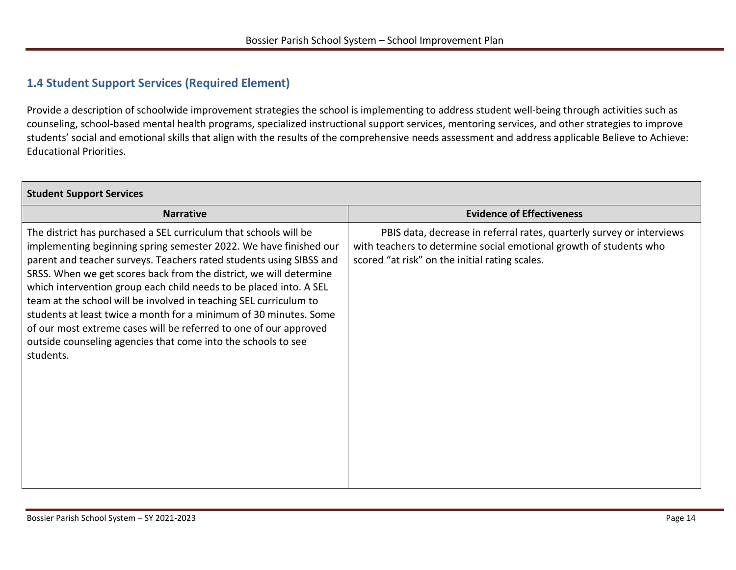#### <span id="page-13-1"></span><span id="page-13-0"></span>**1.4 Student Support Services (Required Element)**

Provide a description of schoolwide improvement strategies the school is implementing to address student well-being through activities such as counseling, school-based mental health programs, specialized instructional support services, mentoring services, and other strategies to improve students' social and emotional skills that align with the results of the comprehensive needs assessment and address applicable Believe to Achieve: Educational Priorities.

| <b>Student Support Services</b>                                                                                                                                                                                                                                                                                                                                                                                                                                                                                                                                                                                                                       |                                                                                                                                                                                               |
|-------------------------------------------------------------------------------------------------------------------------------------------------------------------------------------------------------------------------------------------------------------------------------------------------------------------------------------------------------------------------------------------------------------------------------------------------------------------------------------------------------------------------------------------------------------------------------------------------------------------------------------------------------|-----------------------------------------------------------------------------------------------------------------------------------------------------------------------------------------------|
| <b>Narrative</b>                                                                                                                                                                                                                                                                                                                                                                                                                                                                                                                                                                                                                                      | <b>Evidence of Effectiveness</b>                                                                                                                                                              |
| The district has purchased a SEL curriculum that schools will be<br>implementing beginning spring semester 2022. We have finished our<br>parent and teacher surveys. Teachers rated students using SIBSS and<br>SRSS. When we get scores back from the district, we will determine<br>which intervention group each child needs to be placed into. A SEL<br>team at the school will be involved in teaching SEL curriculum to<br>students at least twice a month for a minimum of 30 minutes. Some<br>of our most extreme cases will be referred to one of our approved<br>outside counseling agencies that come into the schools to see<br>students. | PBIS data, decrease in referral rates, quarterly survey or interviews<br>with teachers to determine social emotional growth of students who<br>scored "at risk" on the initial rating scales. |